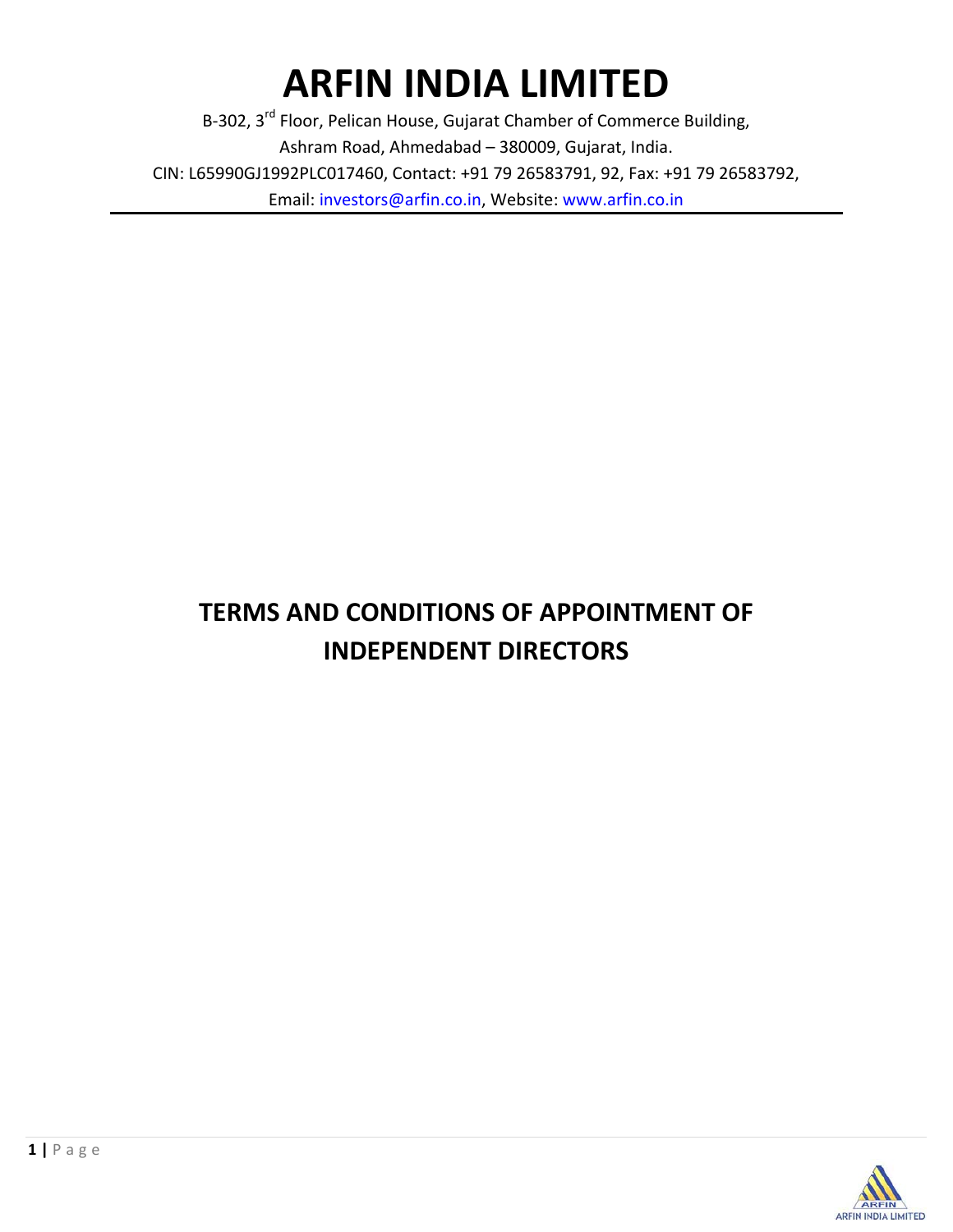# **ARFIN INDIA LIMITED**

B-302, 3<sup>rd</sup> Floor, Pelican House, Gujarat Chamber of Commerce Building, Ashram Road, Ahmedabad – 380009, Gujarat, India. CIN: L65990GJ1992PLC017460, Contact: +91 79 26583791, 92, Fax: +91 79 26583792, Email: investors@arfin.co.in, Website: www.arfin.co.in

# **TERMS AND CONDITIONS OF APPOINTMENT OF INDEPENDENT DIRECTORS**

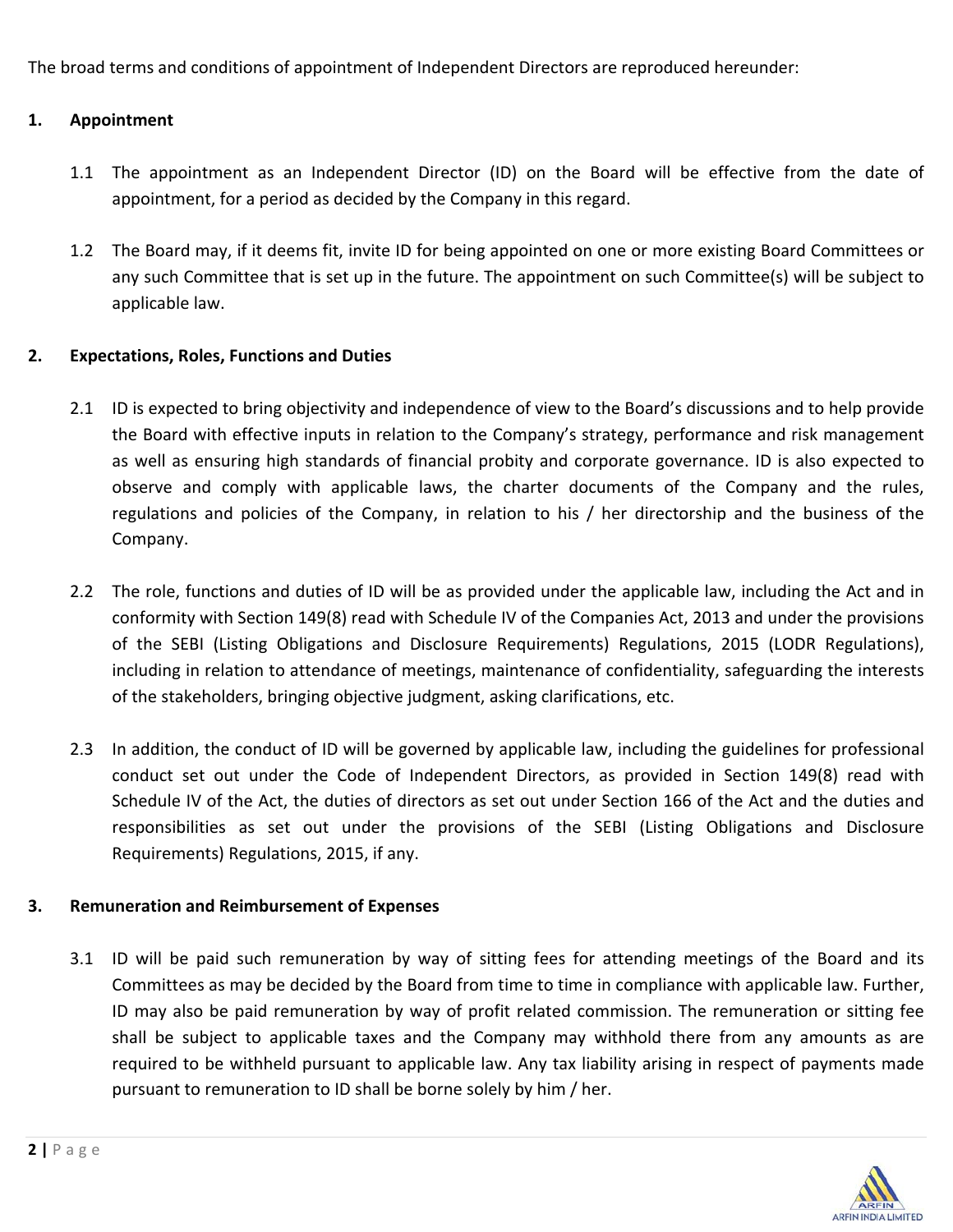The broad terms and conditions of appointment of Independent Directors are reproduced hereunder:

#### **1. Appointment**

- 1.1 The appointment as an Independent Director (ID) on the Board will be effective from the date of appointment, for a period as decided by the Company in this regard.
- 1.2 The Board may, if it deems fit, invite ID for being appointed on one or more existing Board Committees or any such Committee that is set up in the future. The appointment on such Committee(s) will be subject to applicable law.

#### **2. Expectations, Roles, Functions and Duties**

- 2.1 ID is expected to bring objectivity and independence of view to the Board's discussions and to help provide the Board with effective inputs in relation to the Company's strategy, performance and risk management as well as ensuring high standards of financial probity and corporate governance. ID is also expected to observe and comply with applicable laws, the charter documents of the Company and the rules, regulations and policies of the Company, in relation to his / her directorship and the business of the Company.
- 2.2 The role, functions and duties of ID will be as provided under the applicable law, including the Act and in conformity with Section 149(8) read with Schedule IV of the Companies Act, 2013 and under the provisions of the SEBI (Listing Obligations and Disclosure Requirements) Regulations, 2015 (LODR Regulations), including in relation to attendance of meetings, maintenance of confidentiality, safeguarding the interests of the stakeholders, bringing objective judgment, asking clarifications, etc.
- 2.3 In addition, the conduct of ID will be governed by applicable law, including the guidelines for professional conduct set out under the Code of Independent Directors, as provided in Section 149(8) read with Schedule IV of the Act, the duties of directors as set out under Section 166 of the Act and the duties and responsibilities as set out under the provisions of the SEBI (Listing Obligations and Disclosure Requirements) Regulations, 2015, if any.

#### **3. Remuneration and Reimbursement of Expenses**

3.1 ID will be paid such remuneration by way of sitting fees for attending meetings of the Board and its Committees as may be decided by the Board from time to time in compliance with applicable law. Further, ID may also be paid remuneration by way of profit related commission. The remuneration or sitting fee shall be subject to applicable taxes and the Company may withhold there from any amounts as are required to be withheld pursuant to applicable law. Any tax liability arising in respect of payments made pursuant to remuneration to ID shall be borne solely by him / her.

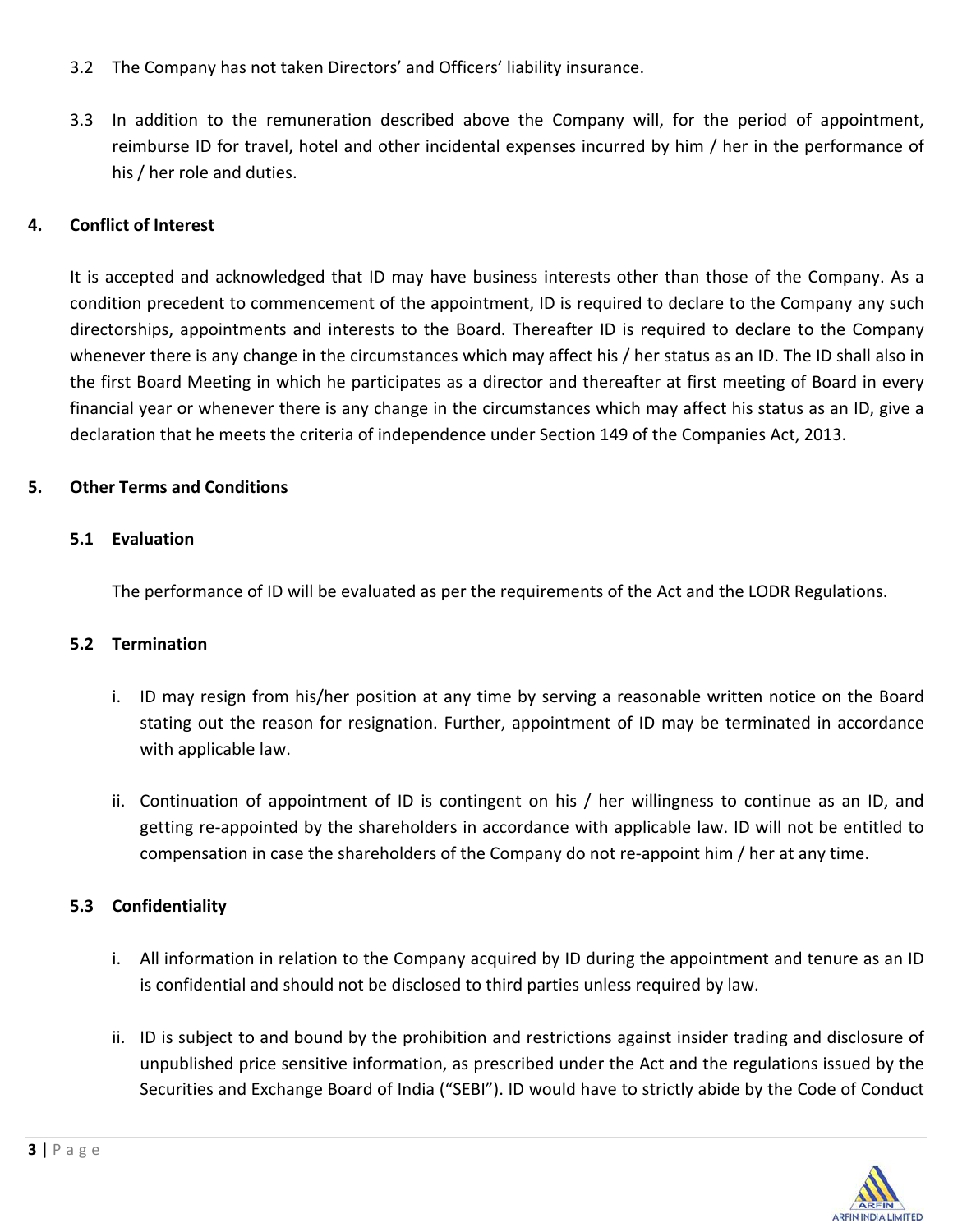- 3.2 The Company has not taken Directors' and Officers' liability insurance.
- 3.3 In addition to the remuneration described above the Company will, for the period of appointment, reimburse ID for travel, hotel and other incidental expenses incurred by him / her in the performance of his / her role and duties.

## **4. Conflict of Interest**

It is accepted and acknowledged that ID may have business interests other than those of the Company. As a condition precedent to commencement of the appointment, ID is required to declare to the Company any such directorships, appointments and interests to the Board. Thereafter ID is required to declare to the Company whenever there is any change in the circumstances which may affect his / her status as an ID. The ID shall also in the first Board Meeting in which he participates as a director and thereafter at first meeting of Board in every financial year or whenever there is any change in the circumstances which may affect his status as an ID, give a declaration that he meets the criteria of independence under Section 149 of the Companies Act, 2013.

# **5. Other Terms and Conditions**

### **5.1 Evaluation**

The performance of ID will be evaluated as per the requirements of the Act and the LODR Regulations.

#### **5.2 Termination**

- i. ID may resign from his/her position at any time by serving a reasonable written notice on the Board stating out the reason for resignation. Further, appointment of ID may be terminated in accordance with applicable law.
- ii. Continuation of appointment of ID is contingent on his / her willingness to continue as an ID, and getting re‐appointed by the shareholders in accordance with applicable law. ID will not be entitled to compensation in case the shareholders of the Company do not re‐appoint him / her at any time.

### **5.3 Confidentiality**

- i. All information in relation to the Company acquired by ID during the appointment and tenure as an ID is confidential and should not be disclosed to third parties unless required by law.
- ii. ID is subject to and bound by the prohibition and restrictions against insider trading and disclosure of unpublished price sensitive information, as prescribed under the Act and the regulations issued by the Securities and Exchange Board of India ("SEBI"). ID would have to strictly abide by the Code of Conduct